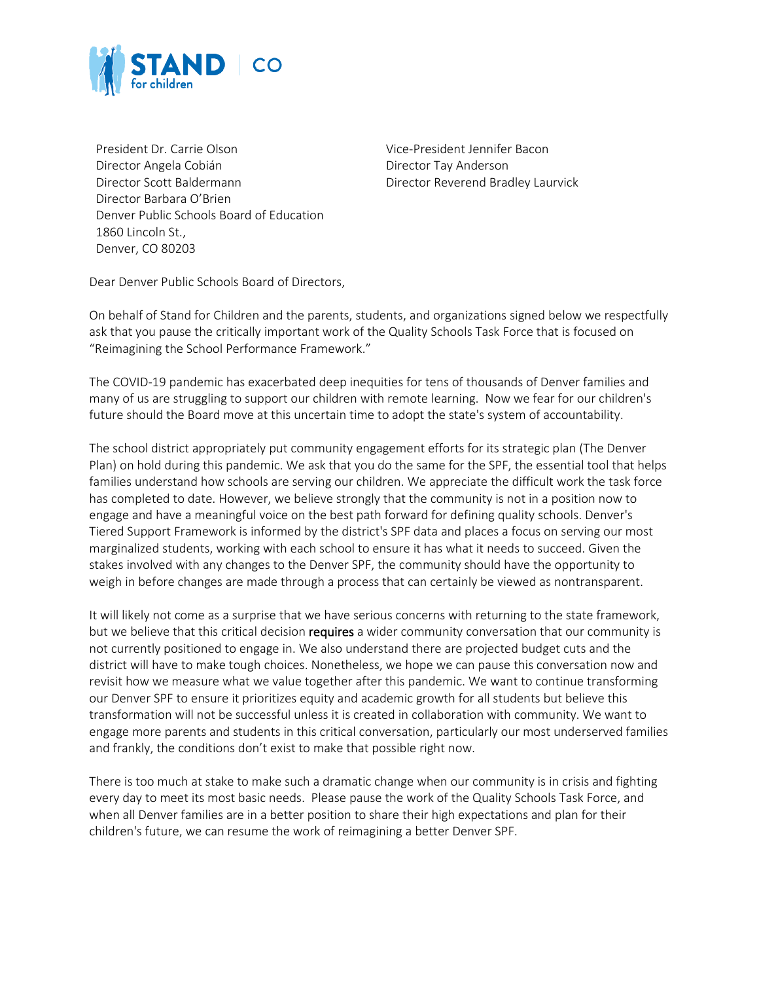

President Dr. Carrie Olson Vice-President Jennifer Bacon Director Angela Cobián Director Tay Anderson Director Scott Baldermann **Director Reverend Bradley Laurvick** Director Barbara O'Brien Denver Public Schools Board of Education 1860 Lincoln St., Denver, CO 80203

Dear Denver Public Schools Board of Directors,

On behalf of Stand for Children and the parents, students, and organizations signed below we respectfully ask that you pause the critically important work of the Quality Schools Task Force that is focused on "Reimagining the School Performance Framework."

The COVID-19 pandemic has exacerbated deep inequities for tens of thousands of Denver families and many of us are struggling to support our children with remote learning. Now we fear for our children's future should the Board move at this uncertain time to adopt the state's system of accountability.

The school district appropriately put community engagement efforts for its strategic plan (The Denver Plan) on hold during this pandemic. We ask that you do the same for the SPF, the essential tool that helps families understand how schools are serving our children. We appreciate the difficult work the task force has completed to date. However, we believe strongly that the community is not in a position now to engage and have a meaningful voice on the best path forward for defining quality schools. Denver's Tiered Support Framework is informed by the district's SPF data and places a focus on serving our most marginalized students, working with each school to ensure it has what it needs to succeed. Given the stakes involved with any changes to the Denver SPF, the community should have the opportunity to weigh in before changes are made through a process that can certainly be viewed as nontransparent.

It will likely not come as a surprise that we have serious concerns with returning to the state framework, but we believe that this critical decision requires a wider community conversation that our community is not currently positioned to engage in. We also understand there are projected budget cuts and the district will have to make tough choices. Nonetheless, we hope we can pause this conversation now and revisit how we measure what we value together after this pandemic. We want to continue transforming our Denver SPF to ensure it prioritizes equity and academic growth for all students but believe this transformation will not be successful unless it is created in collaboration with community. We want to engage more parents and students in this critical conversation, particularly our most underserved families and frankly, the conditions don't exist to make that possible right now.

There is too much at stake to make such a dramatic change when our community is in crisis and fighting every day to meet its most basic needs. Please pause the work of the Quality Schools Task Force, and when all Denver families are in a better position to share their high expectations and plan for their children's future, we can resume the work of reimagining a better Denver SPF.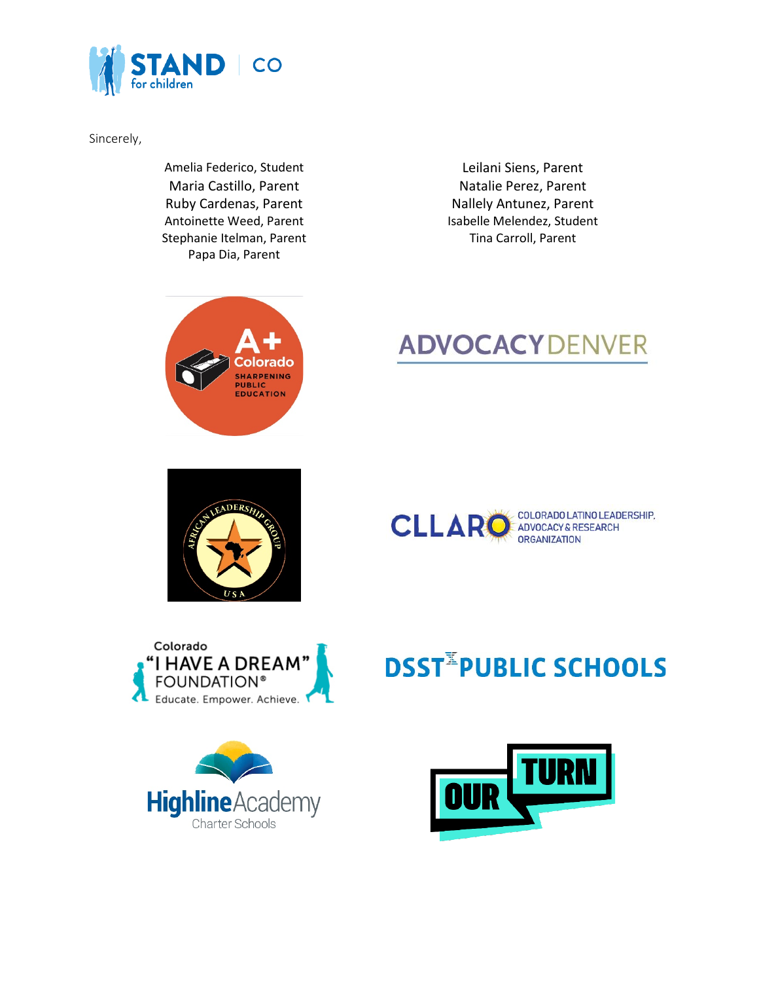

Sincerely,

Amelia Federico, Student Leilani Siens, Parent Maria Castillo, Parent Natalie Perez, Parent Stephanie Itelman, Parent Tina Carroll, Parent Papa Dia, Parent

Ruby Cardenas, Parent Nallely Antunez, Parent Antoinette Weed, Parent **Isabelle Melendez**, Student



## **ADVOCACY** DENVER









## **DSST<sup>II</sup>PUBLIC SCHOOLS**